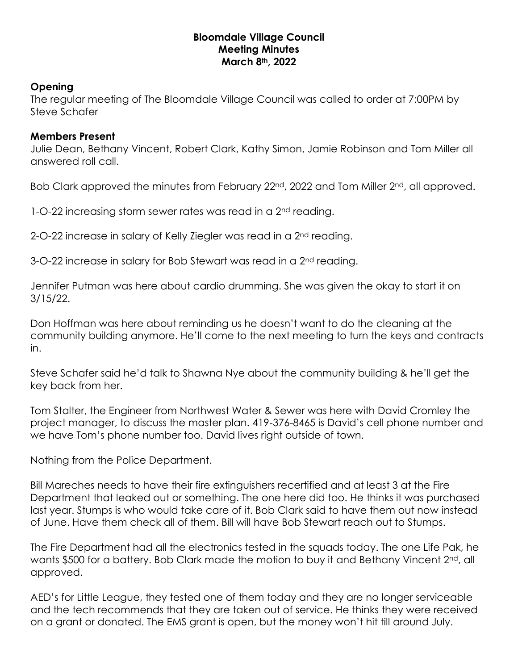## **Bloomdale Village Council Meeting Minutes March 8th, 2022**

## **Opening**

The regular meeting of The Bloomdale Village Council was called to order at 7:00PM by Steve Schafer

## **Members Present**

Julie Dean, Bethany Vincent, Robert Clark, Kathy Simon, Jamie Robinson and Tom Miller all answered roll call.

Bob Clark approved the minutes from February 22<sup>nd</sup>, 2022 and Tom Miller 2<sup>nd</sup>, all approved.

1-O-22 increasing storm sewer rates was read in a 2<sup>nd</sup> reading.

2-O-22 increase in salary of Kelly Ziegler was read in a 2<sup>nd</sup> reading.

3-O-22 increase in salary for Bob Stewart was read in a 2<sup>nd</sup> reading.

Jennifer Putman was here about cardio drumming. She was given the okay to start it on 3/15/22.

Don Hoffman was here about reminding us he doesn't want to do the cleaning at the community building anymore. He'll come to the next meeting to turn the keys and contracts in.

Steve Schafer said he'd talk to Shawna Nye about the community building & he'll get the key back from her.

Tom Stalter, the Engineer from Northwest Water & Sewer was here with David Cromley the project manager, to discuss the master plan. 419-376-8465 is David's cell phone number and we have Tom's phone number too. David lives right outside of town.

Nothing from the Police Department.

Bill Mareches needs to have their fire extinguishers recertified and at least 3 at the Fire Department that leaked out or something. The one here did too. He thinks it was purchased last year. Stumps is who would take care of it. Bob Clark said to have them out now instead of June. Have them check all of them. Bill will have Bob Stewart reach out to Stumps.

The Fire Department had all the electronics tested in the squads today. The one Life Pak, he wants \$500 for a battery. Bob Clark made the motion to buy it and Bethany Vincent 2<sup>nd</sup>, all approved.

AED's for Little League, they tested one of them today and they are no longer serviceable and the tech recommends that they are taken out of service. He thinks they were received on a grant or donated. The EMS grant is open, but the money won't hit till around July.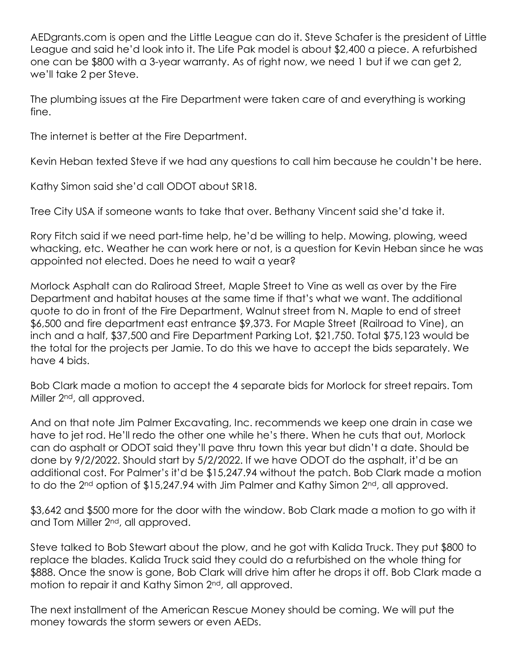AEDgrants.com is open and the Little League can do it. Steve Schafer is the president of Little League and said he'd look into it. The Life Pak model is about \$2,400 a piece. A refurbished one can be \$800 with a 3-year warranty. As of right now, we need 1 but if we can get 2, we'll take 2 per Steve.

The plumbing issues at the Fire Department were taken care of and everything is working fine.

The internet is better at the Fire Department.

Kevin Heban texted Steve if we had any questions to call him because he couldn't be here.

Kathy Simon said she'd call ODOT about SR18.

Tree City USA if someone wants to take that over. Bethany Vincent said she'd take it.

Rory Fitch said if we need part-time help, he'd be willing to help. Mowing, plowing, weed whacking, etc. Weather he can work here or not, is a question for Kevin Heban since he was appointed not elected. Does he need to wait a year?

Morlock Asphalt can do Raliroad Street, Maple Street to Vine as well as over by the Fire Department and habitat houses at the same time if that's what we want. The additional quote to do in front of the Fire Department, Walnut street from N. Maple to end of street \$6,500 and fire department east entrance \$9,373. For Maple Street (Railroad to Vine), an inch and a half, \$37,500 and Fire Department Parking Lot, \$21,750. Total \$75,123 would be the total for the projects per Jamie. To do this we have to accept the bids separately. We have 4 bids.

Bob Clark made a motion to accept the 4 separate bids for Morlock for street repairs. Tom Miller 2<sup>nd</sup>, all approved.

And on that note Jim Palmer Excavating, Inc. recommends we keep one drain in case we have to jet rod. He'll redo the other one while he's there. When he cuts that out, Morlock can do asphalt or ODOT said they'll pave thru town this year but didn't a date. Should be done by 9/2/2022. Should start by 5/2/2022. If we have ODOT do the asphalt, it'd be an additional cost. For Palmer's it'd be \$15,247.94 without the patch. Bob Clark made a motion to do the 2<sup>nd</sup> option of \$15,247.94 with Jim Palmer and Kathy Simon 2<sup>nd</sup>, all approved.

\$3,642 and \$500 more for the door with the window. Bob Clark made a motion to go with it and Tom Miller 2<sup>nd</sup>, all approved.

Steve talked to Bob Stewart about the plow, and he got with Kalida Truck. They put \$800 to replace the blades. Kalida Truck said they could do a refurbished on the whole thing for \$888. Once the snow is gone, Bob Clark will drive him after he drops it off. Bob Clark made a motion to repair it and Kathy Simon 2nd, all approved.

The next installment of the American Rescue Money should be coming. We will put the money towards the storm sewers or even AEDs.